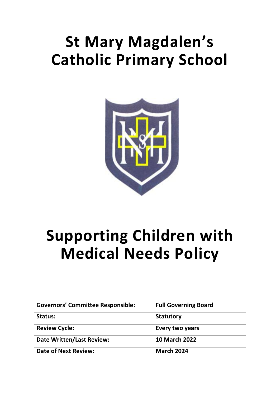# **St Mary Magdalen's Catholic Primary School**



# **Supporting Children with Medical Needs Policy**

| <b>Governors' Committee Responsible:</b> | <b>Full Governing Board</b> |
|------------------------------------------|-----------------------------|
| Status:                                  | <b>Statutory</b>            |
| <b>Review Cycle:</b>                     | Every two years             |
| <b>Date Written/Last Review:</b>         | <b>10 March 2022</b>        |
| <b>Date of Next Review:</b>              | <b>March 2024</b>           |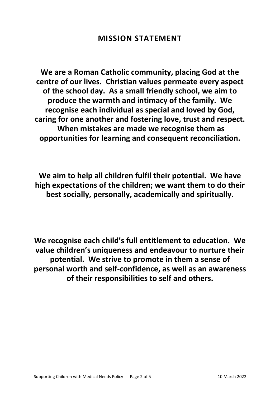**We are a Roman Catholic community, placing God at the centre of our lives. Christian values permeate every aspect of the school day. As a small friendly school, we aim to produce the warmth and intimacy of the family. We recognise each individual as special and loved by God, caring for one another and fostering love, trust and respect. When mistakes are made we recognise them as opportunities for learning and consequent reconciliation.**

**We aim to help all children fulfil their potential. We have high expectations of the children; we want them to do their best socially, personally, academically and spiritually.**

**We recognise each child's full entitlement to education. We value children's uniqueness and endeavour to nurture their potential. We strive to promote in them a sense of personal worth and self-confidence, as well as an awareness of their responsibilities to self and others.**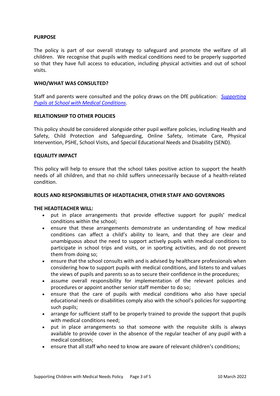## **PURPOSE**

The policy is part of our overall strategy to safeguard and promote the welfare of all children. We recognise that pupils with medical conditions need to be properly supported so that they have full access to education, including physical activities and out of school visits.

#### **WHO/WHAT WAS CONSULTED?**

Staff and parents were consulted and the policy draws on the DfE publication: *[Supporting](https://assets.publishing.service.gov.uk/government/uploads/system/uploads/attachment_data/file/803956/supporting-pupils-at-school-with-medical-conditions.pdf)  [Pupils at School with Medical Conditions](https://assets.publishing.service.gov.uk/government/uploads/system/uploads/attachment_data/file/803956/supporting-pupils-at-school-with-medical-conditions.pdf)*.

## **RELATIONSHIP TO OTHER POLICIES**

This policy should be considered alongside other pupil welfare policies, including Health and Safety, Child Protection and Safeguarding, Online Safety, Intimate Care, Physical Intervention, PSHE, School Visits, and Special Educational Needs and Disability (SEND).

## **EQUALITY IMPACT**

This policy will help to ensure that the school takes positive action to support the health needs of all children, and that no child suffers unnecessarily because of a health-related condition.

#### **ROLES AND RESPONSIBILITIES OF HEADTEACHER, OTHER STAFF AND GOVERNORS**

#### **THE HEADTEACHER WILL:**

- put in place arrangements that provide effective support for pupils' medical conditions within the school;
- ensure that these arrangements demonstrate an understanding of how medical conditions can affect a child's ability to learn, and that they are clear and unambiguous about the need to support actively pupils with medical conditions to participate in school trips and visits, or in sporting activities, and do not prevent them from doing so;
- ensure that the school consults with and is advised by healthcare professionals when considering how to support pupils with medical conditions, and listens to and values the views of pupils and parents so as to secure their confidence in the procedures;
- assume overall responsibility for implementation of the relevant policies and procedures or appoint another senior staff member to do so;
- ensure that the care of pupils with medical conditions who also have special educational needs or disabilities comply also with the school's policies for supporting such pupils;
- arrange for sufficient staff to be properly trained to provide the support that pupils with medical conditions need;
- put in place arrangements so that someone with the requisite skills is always available to provide cover in the absence of the regular teacher of any pupil with a medical condition;
- ensure that all staff who need to know are aware of relevant children's conditions;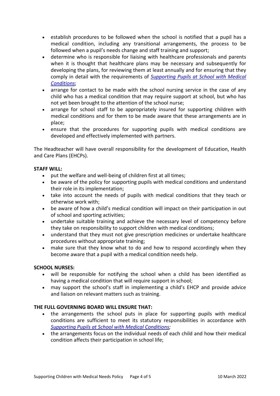- establish procedures to be followed when the school is notified that a pupil has a medical condition, including any transitional arrangements, the process to be followed when a pupil's needs change and staff training and support;
- determine who is responsible for liaising with healthcare professionals and parents when it is thought that healthcare plans may be necessary and subsequently for developing the plans, for reviewing them at least annually and for ensuring that they comply in detail with the requirements of *[Supporting Pupils at School with Medical](https://assets.publishing.service.gov.uk/government/uploads/system/uploads/attachment_data/file/803956/supporting-pupils-at-school-with-medical-conditions.pdf)  [Conditions](https://assets.publishing.service.gov.uk/government/uploads/system/uploads/attachment_data/file/803956/supporting-pupils-at-school-with-medical-conditions.pdf)*;
- arrange for contact to be made with the school nursing service in the case of any child who has a medical condition that may require support at school, but who has not yet been brought to the attention of the school nurse;
- arrange for school staff to be appropriately insured for supporting children with medical conditions and for them to be made aware that these arrangements are in place;
- ensure that the procedures for supporting pupils with medical conditions are developed and effectively implemented with partners.

The Headteacher will have overall responsibility for the development of Education, Health and Care Plans (EHCPs).

## **STAFF WILL:**

- put the welfare and well-being of children first at all times;
- be aware of the policy for supporting pupils with medical conditions and understand their role in its implementation;
- take into account the needs of pupils with medical conditions that they teach or otherwise work with;
- be aware of how a child's medical condition will impact on their participation in out of school and sporting activities;
- undertake suitable training and achieve the necessary level of competency before they take on responsibility to support children with medical conditions;
- understand that they must not give prescription medicines or undertake healthcare procedures without appropriate training;
- make sure that they know what to do and how to respond accordingly when they become aware that a pupil with a medical condition needs help.

## **SCHOOL NURSES:**

- will be responsible for notifying the school when a child has been identified as having a medical condition that will require support in school:
- may support the school's staff in implementing a child's EHCP and provide advice and liaison on relevant matters such as training.

## **THE FULL GOVERNING BOARD WILL ENSURE THAT:**

- the arrangements the school puts in place for supporting pupils with medical conditions are sufficient to meet its statutory responsibilities in accordance with *[Supporting Pupils at School with Medical Conditions;](https://assets.publishing.service.gov.uk/government/uploads/system/uploads/attachment_data/file/803956/supporting-pupils-at-school-with-medical-conditions.pdf)*
- the arrangements focus on the individual needs of each child and how their medical condition affects their participation in school life;